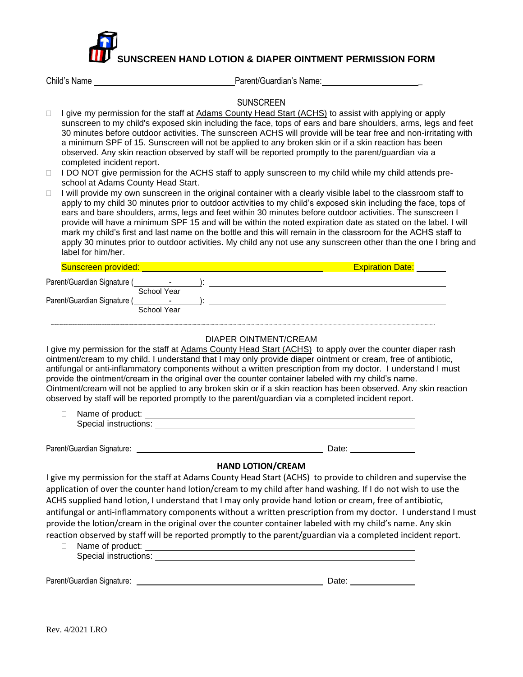

| Child's Name |  |
|--------------|--|
|--------------|--|

Child's Name Parent/Guardian's Name: \_

**SUNSCREEN** 

- □ I give my permission for the staff at Adams County Head Start (ACHS) to assist with applying or apply sunscreen to my child's exposed skin including the face, tops of ears and bare shoulders, arms, legs and feet 30 minutes before outdoor activities. The sunscreen ACHS will provide will be tear free and non-irritating with a minimum SPF of 15. Sunscreen will not be applied to any broken skin or if a skin reaction has been observed. Any skin reaction observed by staff will be reported promptly to the parent/guardian via a completed incident report.
- $\Box$  I DO NOT give permission for the ACHS staff to apply sunscreen to my child while my child attends preschool at Adams County Head Start.
- $\Box$  I will provide my own sunscreen in the original container with a clearly visible label to the classroom staff to apply to my child 30 minutes prior to outdoor activities to my child's exposed skin including the face, tops of ears and bare shoulders, arms, legs and feet within 30 minutes before outdoor activities. The sunscreen I provide will have a minimum SPF 15 and will be within the noted expiration date as stated on the label. I will mark my child's first and last name on the bottle and this will remain in the classroom for the ACHS staff to apply 30 minutes prior to outdoor activities. My child any not use any sunscreen other than the one I bring and label for him/her.

| Sunscreen provided:         |                  | <b>Expiration Date:</b> |
|-----------------------------|------------------|-------------------------|
| Parent/Guardian Signature ( | ٠                |                         |
| Parent/Guardian Signature ( | School Year<br>- |                         |
|                             | School Year      |                         |

### DIAPER OINTMENT/CREAM

I give my permission for the staff at Adams County Head Start (ACHS) to apply over the counter diaper rash ointment/cream to my child. I understand that I may only provide diaper ointment or cream, free of antibiotic, antifungal or anti-inflammatory components without a written prescription from my doctor. I understand I must provide the ointment/cream in the original over the counter container labeled with my child's name. Ointment/cream will not be applied to any broken skin or if a skin reaction has been observed. Any skin reaction observed by staff will be reported promptly to the parent/guardian via a completed incident report.

□ Name of product: Special instructions: Special instructions:

Parent/Guardian Signature: <u>Date: Date: Date: Date: Date: Date: Date: Date: Date: Date: Date: Date: Date: Date: Date: Date: Date: Date: Date: Date: Date: Date: Date: Date: Date: Date: Date: Date: Date: Date: Date: Date: Da</u>

## **HAND LOTION/CREAM**

I give my permission for the staff at Adams County Head Start (ACHS) to provide to children and supervise the application of over the counter hand lotion/cream to my child after hand washing. If I do not wish to use the ACHS supplied hand lotion, I understand that I may only provide hand lotion or cream, free of antibiotic, antifungal or anti-inflammatory components without a written prescription from my doctor. I understand I must provide the lotion/cream in the original over the counter container labeled with my child's name. Any skin reaction observed by staff will be reported promptly to the parent/guardian via a completed incident report.

□ Name of product: Special instructions:

Parent/Guardian Signature: Date: